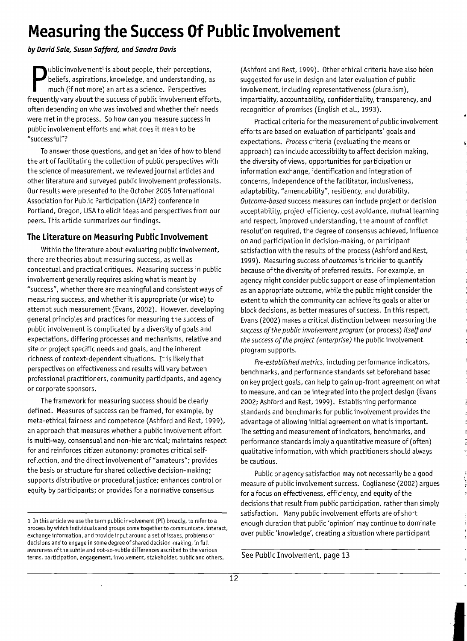# **Measuring the Success Of Public Involvement**

*by David Sale, Susan Safford, and Sandra Davis* 

**Public involvement<sup>1</sup>** is about people, their perceptions, beliefs, aspirations, knowledge, and understanding, as much (if not more) an art as a science. Perspectives frequently vary about the success of public involvemen ublic involvement<sup>1</sup> is about people, their perceptions, beliefs, aspirations, knowledge, and understanding, as much (if not more) an art as a science. Perspectives often depending on who was involved and whether their needs were met in the process. So how can you measure success in public involvement efforts and what does it mean to be "successful"?

To answer those questions, and get an idea of how to blend the art of facilitating the collection of public perspectives with the science of measurement, we reviewed journal articles and other literature and surveyed public involvement professionals. Our results were presented to the October 2005 International Association for Public Participation (IAP2) conference in Portland, Oregon, USA to elicit ideas and perspectives from our peers. This article summarizes our findings.

#### **The literature on Measuring Public Involvement**

Within the literature about evaluating public involvement, there are theories about measuring success, as well as conceptual and practical critiques. Measuring success in public involvement generally requires asking what is meant by "success", whether there are meaningful and consistent ways of measuring success, and whether it is appropriate (or wise) to attempt such measurement (Evans, 2002). However, developing general principles and practices for measuring the success of public involvement is complicated by a diversity of goals and expectations, differing processes and mechanisms, relative and site or project specific needs and goals, and the inherent richness of context-dependent situations. It is likely that perspectives on effectiveness and results will vary between professional practitioners, community participants, and agency or corporate sponsors.

The framework for measuring success should be clearly defined. Measures of success can be framed, for example, by meta-ethical fairness and competence (Ashford and Rest, 1999), an approach that measures whether a public involvement effort is multi-way, consensual and non-hierarchical; maintains respect for and reinforces citizen autonomy; promotes critical selfreflection, and the direct involvement of "amateurs"; provides the basis or structure for shared collective decision-making; supports distributive or proceduraljustice; enhances control or equity by participants; or provides for a normative consensus

(Ashford and Rest, 1999). Other ethical criteria have also be'en suggested for use in design and later evaluation of public involvement, including representativeness (pluralism), impartiality, accountability, confidentiality, transparency, and recognition of promises (English et al., 1993).

Practical criteria for the measurement of public involvement efforts are based on evaluation of participants' goals and expectations. *Process* criteria (evaluating the means or approach) can include accessibility to affect decision making, the diversity of views, opportunities for participation or information exchange, identification and integration of concerns, independence of the facilitator, inclusiveness, adaptability, "amendability", resiliency, and durability. *Outcome-based* success measures can include project or decision acceptability, project efficiency, cost avoidance, mutual learning and respect, improved understanding, the amount of conflict resolution required, the degree of consensus achieved, influence on and participation in decision-making, or participant satisfaction with the results of the process (Ashford and Rest, 1999). Measuring success of *outcomes* is trickier to quantify because of the diversity of preferred results. For example, an agency might consider public support or ease of implementation as an appropriate outcome, while the public might consider the extent to which the community can achieve its goals or alter or block decisions, as better measures of success. In this respect, Evans (2002) makes a critical distinction between measuring the *su(cess ofthe public involvement program* (or process) *itselfand the success ofthe project (enterprise)* the public involvement program supports.

*Pre-established metrics,* including performance indicators, benchmarks, and performance standards set beforehand based on key project goals, can help to gain up-front agreement on what to measure, and can be integrated into the project design (Evans 2002; Ashford and Rest, 1999). Establishing performance standards and benchmarks for public involvement provides the advantage of allowing initial agreement on what is important. The setting and measurement of indicators, benchmarks, and performance standards imply a quantitative measure of (often) qualitative information, with which practitioners should always be cautious.

Public or agency satisfaction may not necessarily be a good measure of public involvement success. Coglianese (2002) argues for a focus on effectiveness, efficiency, and equity ofthe decisions that result from public participation, rather than simply satisfaction. Many public involvement efforts are of short enough duration that public 'opinion' may continue to dominate over public 'knowledge', creating a situation where participant

**I** 

See Public Involvement, page 13

<sup>1</sup> In this article we use the term public involvement (PI) broadly, to refer to a process by which individuals and groups come together to communicate, interact, exchange information, and provide input around a set of issues, problems or decisions and to engage in some degree of shared decision-making, in fulL awareness of the subtle and not-so-subtle differences ascribed to the various terms, participation, engagement, involvement, stakeholder, public and others.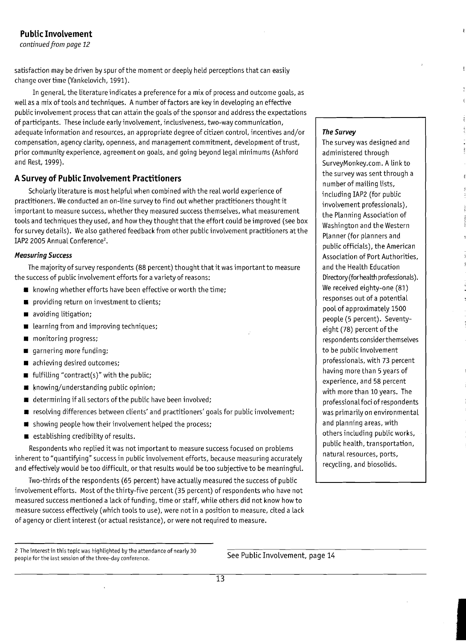# **Public Involvement**

*continued from page 12* 

satisfaction may be driven by spur of the moment or deeply held perceptions that can easily change over time (Yankelovich, 1991).

In general, the literature indicates a preference for a mix of process and outcome goals, as well as a mix oftools and techniques. Anumber of factors are keyin developing an effective public involvement process that can attain the goals of the sponsor and address the expectations of participants. These include early involvement, inclusiveness, two-way communication, adequate information and resources, an appropriate degree of citizen control, incentives and/or compensation, agency clarity, openness, and management commitment, development oftrust, prior community experience, agreement on goals, and going beyond legal minimums (Ashford and Rest, 1999).

## **ASurvey of Public Involvement Practitioners**

Scholarly literature is most helpful when combined with the real world experience of practitioners. We conducted an on-line survey to find out whether practitioners thought it important to measure success, whether they measured success themselves, what measurement tools and techniques they used, and how they thought that the effort could be improved (see box for survey details). We also gathered feedback from other public involvement practitioners at the IAP2 2005 Annual Conference<sup>2</sup>.

#### **Measuring Success**

The majority of survey respondents (88 percent) thought that it was important to measure the success of public involvement efforts for a variety of reasons:

- **•** knowing whether efforts have been effective or worth the time;
- $\blacksquare$  providing return on investment to clients;
- voiding litigation;
- **learning from and improving techniques;**
- $\blacksquare$  monitoring progress;
- $\blacksquare$  garnering more funding;
- achieving desired outcomes;
- $\blacksquare$  fulfilling "contract(s)" with the public;
- $\blacksquare$  knowing/understanding public opinion;
- $\blacksquare$  determining if all sectors of the public have been involved;
- **•** resolving differences between clients' and practitioners' goals for public involvement;
- $\blacksquare$  showing people how their involvement helped the process;
- $\blacksquare$  establishing credibility of results.

Respondents who replied it was not important to measure success focused on problems inherent to "quantifying" success in public involvement efforts, because measuring accurately and effectively would be too difficult, or that results would be too subjective to be meaningful.

Two-thirds of the respondents (65 percent) have actually measured the success of public involvement efforts. Most of the thirty-five percent (35 percent) of respondents who have not measured success mentioned a lack offunding, time or staff, while others did not know howto measure success effectively (which tools to use), were not in a position to measure, cited a lack of agency or client interest (or actual resistance), or were not required to measure.

2 The interest in this topic was highlighted by the attendance of nearly 30  $\overline{See}$  Public Involvement, page 14 people for the last session of the three-day conference.

#### The Survey

The survey was designed and administered through SurveyMonkey.com. Alinkto the survey was sent through a number of mailing lists, including IAP2 (for public involvement professionals), the Planning Association of Washington and the Western Planner (for planners and public officials), the American Association of Port Authorities, and the Health Education Directory (for health professionals). We received eighty-one (81) responses out of a potential pool of approximately 1500 people (5 percent). Seventyeight (78) percent of the respondents considerthemselves to be public involvement professionals, with 73 percent having more than 5years of experience, and 58 percent with more than 10 years. The professional foci of respondents was primarily on environmental and planning areas, with others including public works, public health, transportation, natural resources, ports, recycling, and biosolids.

**International Account of the American Seconds**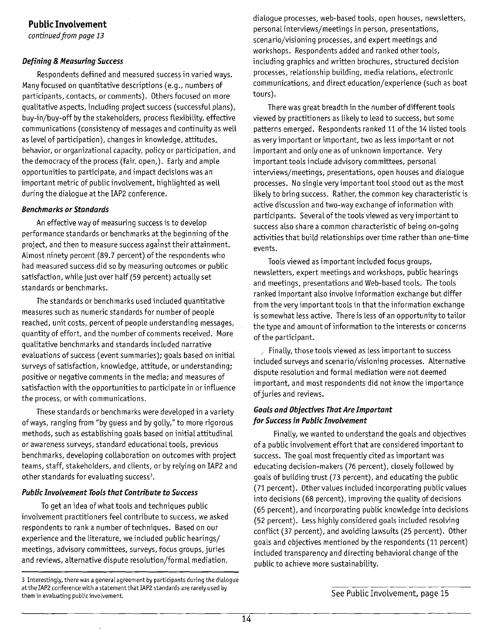## **Public Involvement**

*continuedfrom page 13* 

#### *Defining* **&** *Measuring Success*

Respondents defined and measured success in varied ways. Many focused on quantitative descriptions (e.g., numbers of participants, contacts, or comments). Others focused on more qualitative aspects, including project success (successful plans), buy-in/buy-off by the stakeholders, process flexibility, effective communications (consistency of messages and continuity as well as level of participation), changes in knowledge, attitudes, behavior, or organizational capacity, policy or participation, and the democracy of the process (fair, open,). Early and ample opportunities to participate, and impact decisions was an important metric of public involvement, highlighted as well during the dialogue at the IAP2 conference.

#### *Benchmarks or Standards*

An effective way of measuring success is to develop performance standards or benchmarks at the beginning ofthe project, and then to measure success against their attainment. Almost ninety percent (89.7 percent) of the respondents who had measured success did so by measuring outcomes or public satisfaction, while just over half (59 percent) actually set standards or benchmarks.

The standards or benchmarks used included quantitative measures such as numeric standards for number of people reached, unit costs, percent of people understanding messages, quantity of effort, and the number of comments received. More qualitative benchmarks and standards included narrative evaluations of success (event summaries); goals based on initial surveys of satisfaction, knowledge, attitude, or understanding; positive or negative comments in the media; and measures of satisfaction with the opportunities to participate in or influence the process, or with communications.

These standards or benchmarks were developed in a variety of ways, ranging from "by guess and by golly," to more rigorous methods, such as establishing goals based on initial attitudinal or awareness surveys, standard educational tools, previous benchmarks, developing collaboration on outcomes with project teams, staff, stakeholders, and clients, or by relying on IAP2 and other standards for evaluating success<sup>3</sup>.

#### *Public InvoLvement TooLs that Contribute* **to** *Success*

To get an idea of what tools and techniques public involvement practitioners feel contribute to success, we asked respondents to rank a number of techniques. Based on our experience and the literature, we included public hearings/ meetings, advisory committees, surveys, focus groups, juries and reviews, alternative dispute resolution/formal mediation,

dialogue processes, web-based tools, open houses, newsletters, personal interviews/meetings in person, presentations, scenario/visioning processes, and expert meetings and workshops. Respondents added and ranked other tools, including graphics and written brochures, structured decision processes, relationship building, media relations, electronic communications, and direct education/experience (such as boat tours).

There was great breadth in the number of different tools viewed by practitioners as likely to lead to success, but some patterns emerged. Respondents ranked 11 of the 14 listed tools as very important or important, two as less important or not important and only one as of unknown importance. Very important tools include advisory committees, personal interviews/meetings, presentations, open houses and dialogue processes. No single very important tool stood out as the most likely to bring success. Rather, the common key characteristic is active discussion and two-way exchange of information with participants. Several of the tools viewed as very important to success also share a common characteristic of being on-going activities that build relationships over time rather than one-time events.

Tools viewed as important included focus groups, newsletters, expert meetings and workshops, public hearings and meetings, presentations and Web-based tools. The tools ranked important also involve information exchange but differ from the very important tools in that the information exchange is somewhat less active. There is less of an opportunity to tailor the type and amount of information to the interests or concerns of the participant.

 $\sqrt{ }$  Finally, those tools viewed as less important to success included surveys and scenario/visioning processes. Alternative dispute resolution and formal mediation were not deemed important, and most respondents did not know the importance ofjuries and reviews.

#### *GoaLs and Objectives That Are Important for Success in Public InvoLvement*

Finally, we wanted to understand the goals and objectives of a public involvement effort that are considered important to success. The goal most frequently cited as important was educating decision-makers (76 percent), closely followed by goals of building trust (73 percent), and educating the public (71 percent). Other values included incorporating public values into decisions (68 percent), improving the quality of decisions (65 percent), and incorporating public knowledge into decisions (52 percent). Less highly considered goals included resolving conflict (37 percent), and avoiding lawsuits (25 percent). Other goals and objectives mentioned by the respondents (11 percent) included transparency and directing behavioral change of the public to achieve more sustainability.

<sup>3</sup> Interestingly, there was a general agreement by participants during the dialogue at the IAP2 conference with a statement that IAP2 standards are rarely used by them in evaluating public involvement.